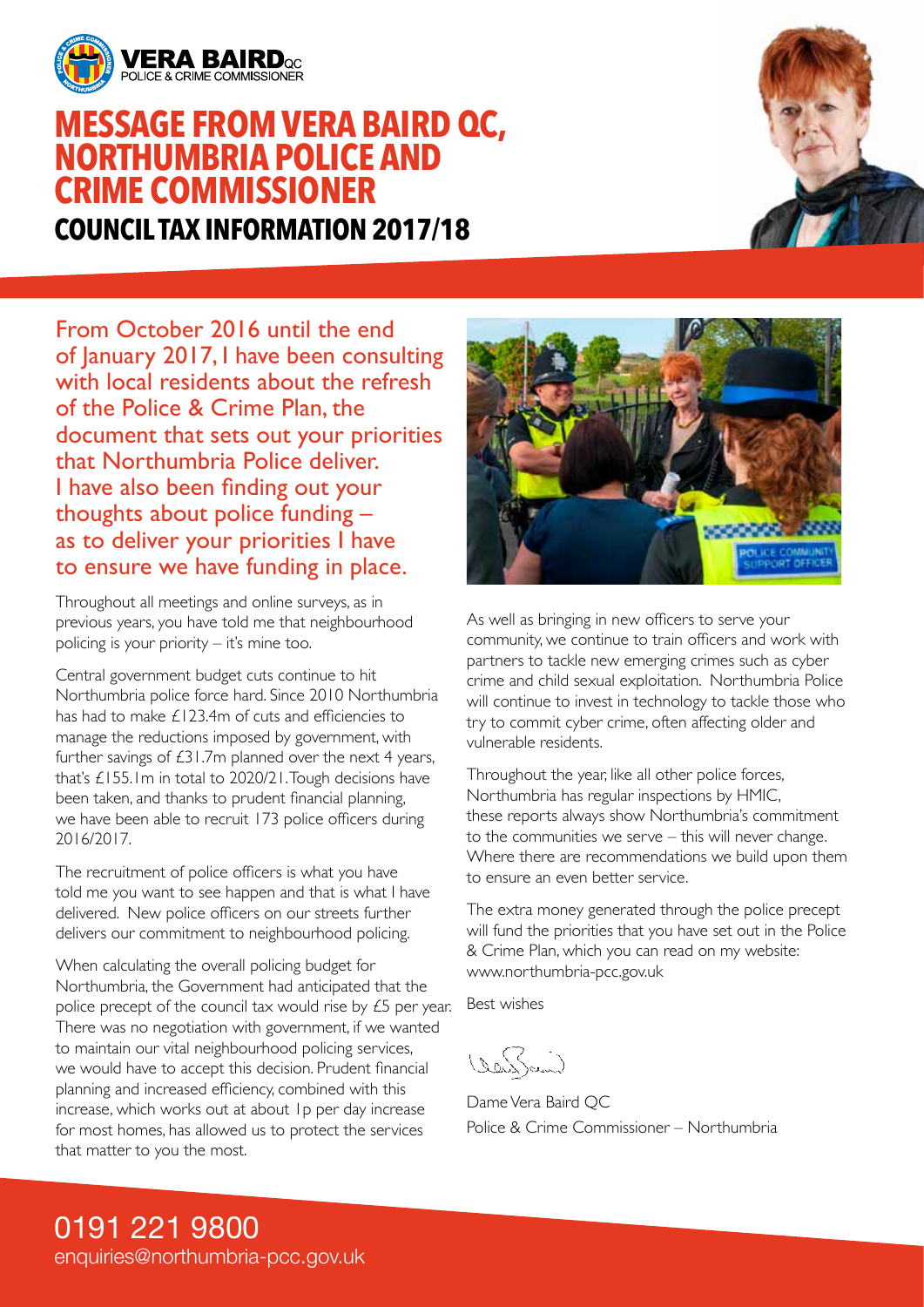

### **MESSAGE FROM VERA BAIRD QC, NORTHUMBRIA POLICE AND CRIME COMMISSIONER COUNCIL TAX INFORMATION 2017/18**



From October 2016 until the end of January 2017, I have been consulting with local residents about the refresh of the Police & Crime Plan, the document that sets out your priorities that Northumbria Police deliver. I have also been finding out your thoughts about police funding – as to deliver your priorities I have to ensure we have funding in place.

Throughout all meetings and online surveys, as in previous years, you have told me that neighbourhood policing is your priority – it's mine too.

Central government budget cuts continue to hit Northumbria police force hard. Since 2010 Northumbria has had to make £123.4m of cuts and efficiencies to manage the reductions imposed by government, with further savings of  $£31.7m$  planned over the next 4 years, that's £155.1m in total to 2020/21. Tough decisions have been taken, and thanks to prudent financial planning, we have been able to recruit 173 police officers during 2016/2017.

The recruitment of police officers is what you have told me you want to see happen and that is what I have delivered. New police officers on our streets further delivers our commitment to neighbourhood policing.

When calculating the overall policing budget for Northumbria, the Government had anticipated that the police precept of the council tax would rise by £5 per year. There was no negotiation with government, if we wanted to maintain our vital neighbourhood policing services, we would have to accept this decision. Prudent financial planning and increased efficiency, combined with this increase, which works out at about 1p per day increase for most homes, has allowed us to protect the services that matter to you the most.



As well as bringing in new officers to serve your community, we continue to train officers and work with partners to tackle new emerging crimes such as cyber crime and child sexual exploitation. Northumbria Police will continue to invest in technology to tackle those who try to commit cyber crime, often affecting older and vulnerable residents.

Throughout the year, like all other police forces, Northumbria has regular inspections by HMIC, these reports always show Northumbria's commitment to the communities we serve – this will never change. Where there are recommendations we build upon them to ensure an even better service.

The extra money generated through the police precept will fund the priorities that you have set out in the Police & Crime Plan, which you can read on my website: www.northumbria-pcc.gov.uk

Best wishes

(DanSam)

Dame Vera Baird QC Police & Crime Commissioner – Northumbria